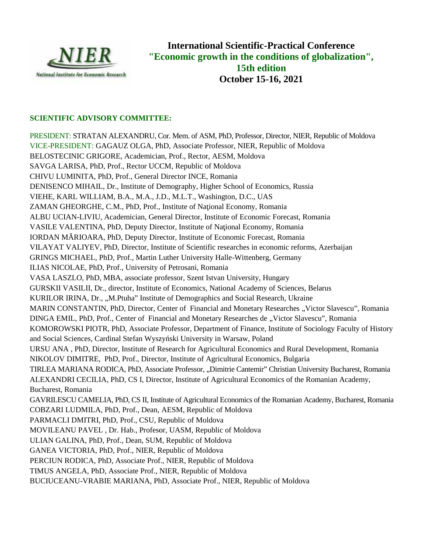

**International Scientific-Practical Conference International Scientific-Practical Conference "Economic growth in the conditions of globalization", 15th edition October 15-16, 2021**

## **SCIENTIFIC ADVISORY COMMITTEE:**

PRESIDENT: STRATAN ALEXANDRU, Cor. Mem. of ASM, PhD, Professor, Director, NIER, Republic of Moldova VICE-PRESIDENT: GAGAUZ OLGA, PhD, Associate Professor, NIER, Republic of Moldova BELOSTECINIC GRIGORE, Academician, Prof., Rector, AESM, Moldova SAVGA LARISA, PhD, Prof., Rector UCCM, Republic of Moldova CHIVU LUMINITA, PhD, Prof., General Director INCE, Romania DENISENCO MIHAIL, Dr., Institute of Demography, Higher School of Economics, Russia VIEHE, KARL WILLIAM, B.A., M.A., J.D., M.L.T., Washington, D.C., UAS ZAMAN GHEORGHE, C.M., PhD, Prof., Institute of Na ional Economy, Romania ALBU UCIAN-LIVIU, Academician, General Director, Institute of Economic Forecast, Romania VASILE VALENTINA, PhD, Deputy Director, Institute of Na ional Economy, Romania IORDAN M RIOARA, PhD, Deputy Director, Institute of Economic Forecast, Romania VILAYAT VALIYEV, PhD, Director, Institute of Scientific researches in economic reforms, Azerbaijan GRINGS MICHAEL, PhD, Prof., Martin Luther University Halle-Wittenberg, Germany ILIAS NICOLAE, PhD, Prof., University of Petrosani, Romania VASA LASZLO, PhD, MBA, associate professor, Szent Istvan University, Hungary GURSKII VASILII, Dr., director, Institute of Economics, National Academy of Sciences, Belarus KURILOR IRINA, Dr., "M.Ptuha" Institute of Demographics and Social Research, Ukraine MARIN CONSTANTIN, PhD, Director, Center of Financial and Monetary Researches "Victor Slavescu", Romania DINGA EMIL, PhD, Prof., Center of Financial and Monetary Researches de "Victor Slavescu", Romania KOMOROWSKI PIOTR, PhD, Associate Professor, Department of Finance, Institute of Sociology Faculty of History and Social Sciences, Cardinal Stefan Wyszy ski University in Warsaw, Poland URSU ANA , PhD, Director, Institute of Research for Agricultural Economics and Rural Development, Romania NIKOLOV DIMITRE, PhD, Prof., Director, Institute of Agricultural Economics, Bulgaria TIRLEA MARIANA RODICA, PhD, Associate Professor, "Dimitrie Cantemir" Christian University Bucharest, Romania ALEXANDRI CECILIA, PhD, CS I, Director, Institute of Agricultural Economics of the Romanian Academy, Bucharest, Romania GAVRILESCU CAMELIA, PhD, CS II, Institute of Agricultural Economics of the Romanian Academy, Bucharest, Romania COBZARI LUDMILA, PhD, Prof., Dean, AESM, Republic of Moldova PARMACLI DMITRI, PhD, Prof., CSU, Republic of Moldova MOVILEANU PAVEL , Dr. Hab., Profesor, UASM, Republic of Moldova<br>ULIAN GALINA, PhD, Prof., Dean, SUM, Republic of Moldova ULIAN GALINA, PhD, Prof., Dean, SUM, Republic of Moldova GANEA VICTORIA, PhD, Prof., NIER, Republic of Moldova PERCIUN RODICA, PhD, Associate Prof., NIER, Republic of Moldova TIMUS ANGELA, PhD, Associate Prof., NIER, Republic of Moldova PRESIDENT: STRATAN ALEXANDRU, Cor. Mem. of ASM, PhD, Professor, Niector, NER, Republic VICE-PRESIDENT: GAGAUZ OLGA, PhD, Associate Professor, NIER, Republic of Moldova<br>BELOSTECINIC GRIGORE, Academician, Prof., Recubic of M DINGA EMIL, PhD, Prof., Center of Financial and Monetary Researches de "Victor Slavescu", Romania<br>KOMOROWSKI PIOTR, PhD, Associate Professor, Department of Finance, Institute of Sociology Faculty of History<br>and Social Scie **Trantional Scientific-Practical<br>
ic growth in the conditions of<br>
15th edition<br>
0ctober 15-16, 2021<br>
15th edition<br>
0ctober 15-16, 2021<br>
exient Professor, NIER, Republic of Mo<br>
Rector, AESM, Moldova<br>
INCE, Romania<br>
INCE, Ro** 

BUCIUCEANU-VRABIE MARIANA, PhD, Associate Prof., NIER, Republic of Moldova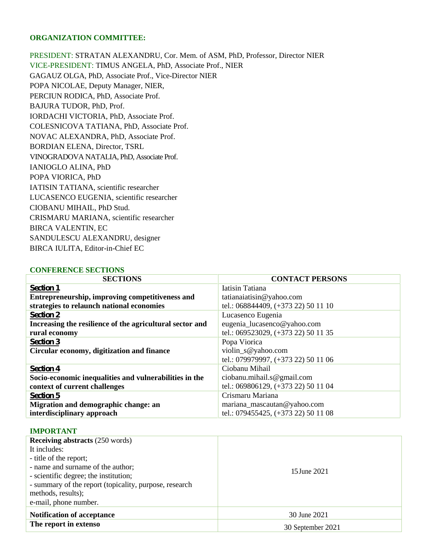### **ORGANIZATION COMMITTEE:**

PRESIDENT: STRATAN ALEXANDRU, Cor. Mem. of ASM, PhD, Professor, Director NIER VICE-PRESIDENT: TIMUS ANGELA, PhD, Associate Prof., NIER GAGAUZ OLGA, PhD, Associate Prof., Vice-Director NIER POPA NICOLAE, Deputy Manager, NIER, PERCIUN RODICA, PhD, Associate Prof. BAJURA TUDOR, PhD, Prof. IORDACHI VICTORIA, PhD, Associate Prof. COLESNICOVA TATIANA, PhD, Associate Prof. NOVAC ALEXANDRA, PhD, Associate Prof. BORDIAN ELENA, Director, TSRL VINOGRADOVA NATALIA, PhD, Associate Prof. IANIOGLO ALINA, PhD POPA VIORICA, PhD IATISIN TATIANA, scientific researcher LUCASENCO EUGENIA, scientific researcher CIOBANU MIHAIL, PhD Stud. CRISMARU MARIANA, scientific researcher BIRCA VALENTIN, EC SANDULESCU ALEXANDRU, designer BIRCA IULITA, Editor-in-Chief EC

### **CONFERENCE SECTIONS**

| <b>SECTIONS</b>                                          | <b>CONTACT PERSONS</b>              |  |
|----------------------------------------------------------|-------------------------------------|--|
| <b>Section 1</b>                                         | Iatisin Tatiana                     |  |
| Entrepreneurship, improving competitiveness and          | tatianaiatisin@yahoo.com            |  |
| strategies to relaunch national economies                | tel.: 068844409, (+373 22) 50 11 10 |  |
| <b>Section 2</b>                                         | Lucasenco Eugenia                   |  |
| Increasing the resilience of the agricultural sector and | eugenia_lucasenco@yahoo.com         |  |
| rural economy                                            | tel.: 069523029, (+373 22) 50 11 35 |  |
| <b>Section 3</b>                                         | Popa Viorica                        |  |
| Circular economy, digitization and finance               | violin_s@yahoo.com                  |  |
|                                                          | tel.: 079979997, (+373 22) 50 11 06 |  |
| <b>Section 4</b>                                         | Ciobanu Mihail                      |  |
| Socio-economic inequalities and vulnerabilities in the   | ciobanu.mihail.s@gmail.com          |  |
| context of current challenges                            | tel.: 069806129, (+373 22) 50 11 04 |  |
| <b>Section 5</b>                                         | Crismaru Mariana                    |  |
| Migration and demographic change: an                     | mariana_mascautan@yahoo.com         |  |
| interdisciplinary approach                               | tel.: 079455425, (+373 22) 50 11 08 |  |

### **IMPORTANT**

| <b>Receiving abstracts (250 words)</b>                 |                   |
|--------------------------------------------------------|-------------------|
| It includes:                                           |                   |
| - title of the report;                                 |                   |
| - name and surname of the author;                      | 15 June 2021      |
| - scientific degree; the institution;                  |                   |
| - summary of the report (topicality, purpose, research |                   |
| methods, results);                                     |                   |
| e-mail, phone number.                                  |                   |
| <b>Notification of acceptance</b>                      | 30 June 2021      |
| The report in extenso                                  | 30 September 2021 |
|                                                        |                   |